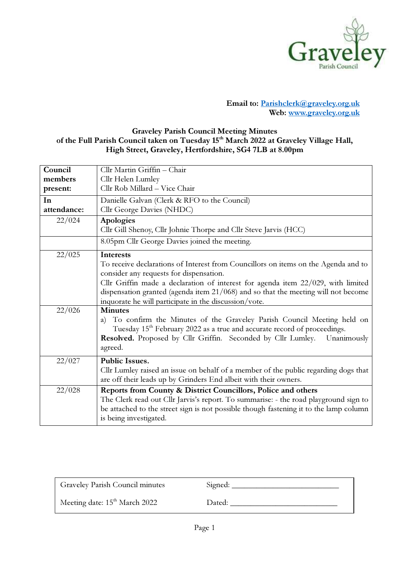

## Email to: Parishclerk@graveley.org.uk Web: www.graveley.org.uk

## Graveley Parish Council Meeting Minutes of the Full Parish Council taken on Tuesday 15<sup>th</sup> March 2022 at Graveley Village Hall, High Street, Graveley, Hertfordshire, SG4 7LB at 8.00pm

| Council<br>members<br>present:<br>In<br>attendance:<br>22/024 | Cllr Martin Griffin - Chair<br>Cllr Helen Lumley<br>Cllr Rob Millard - Vice Chair<br>Danielle Galvan (Clerk & RFO to the Council)<br>Cllr George Davies (NHDC)<br>Apologies                                                                                                                                                                                                         |
|---------------------------------------------------------------|-------------------------------------------------------------------------------------------------------------------------------------------------------------------------------------------------------------------------------------------------------------------------------------------------------------------------------------------------------------------------------------|
|                                                               | Cllr Gill Shenoy, Cllr Johnie Thorpe and Cllr Steve Jarvis (HCC)                                                                                                                                                                                                                                                                                                                    |
|                                                               | 8.05pm Cllr George Davies joined the meeting.                                                                                                                                                                                                                                                                                                                                       |
| 22/025                                                        | <b>Interests</b><br>To receive declarations of Interest from Councillors on items on the Agenda and to<br>consider any requests for dispensation.<br>Cllr Griffin made a declaration of interest for agenda item 22/029, with limited<br>dispensation granted (agenda item 21/068) and so that the meeting will not become<br>inquorate he will participate in the discussion/vote. |
| 22/026                                                        | <b>Minutes</b><br>To confirm the Minutes of the Graveley Parish Council Meeting held on<br>a)<br>Tuesday 15 <sup>th</sup> February 2022 as a true and accurate record of proceedings.<br>Resolved. Proposed by Cllr Griffin. Seconded by Cllr Lumley.<br>Unanimously<br>agreed.                                                                                                     |
| 22/027                                                        | <b>Public Issues.</b><br>Cllr Lumley raised an issue on behalf of a member of the public regarding dogs that<br>are off their leads up by Grinders End albeit with their owners.                                                                                                                                                                                                    |
| 22/028                                                        | Reports from County & District Councillors, Police and others<br>The Clerk read out Cllr Jarvis's report. To summarise: - the road playground sign to<br>be attached to the street sign is not possible though fastening it to the lamp column<br>is being investigated.                                                                                                            |

| <b>Graveley Parish Council minutes</b>    | Signed: |
|-------------------------------------------|---------|
| Meeting date: 15 <sup>th</sup> March 2022 | Dated:  |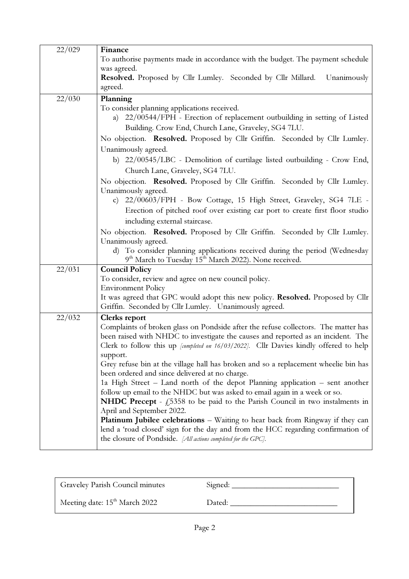| 22/029 | Finance                                                                                                                      |
|--------|------------------------------------------------------------------------------------------------------------------------------|
|        | To authorise payments made in accordance with the budget. The payment schedule                                               |
|        | was agreed.                                                                                                                  |
|        | Resolved. Proposed by Cllr Lumley. Seconded by Cllr Millard.<br>Unanimously                                                  |
|        | agreed.                                                                                                                      |
| 22/030 | Planning                                                                                                                     |
|        | To consider planning applications received.                                                                                  |
|        | a) 22/00544/FPH - Erection of replacement outbuilding in setting of Listed                                                   |
|        | Building. Crow End, Church Lane, Graveley, SG4 7LU.                                                                          |
|        | No objection. Resolved. Proposed by Cllr Griffin. Seconded by Cllr Lumley.                                                   |
|        | Unanimously agreed.                                                                                                          |
|        | b) 22/00545/LBC - Demolition of curtilage listed outbuilding - Crow End,                                                     |
|        | Church Lane, Graveley, SG4 7LU.                                                                                              |
|        | No objection. Resolved. Proposed by Cllr Griffin. Seconded by Cllr Lumley.                                                   |
|        | Unanimously agreed.                                                                                                          |
|        | c) 22/00603/FPH - Bow Cottage, 15 High Street, Graveley, SG4 7LE -                                                           |
|        | Erection of pitched roof over existing car port to create first floor studio                                                 |
|        | including external staircase.                                                                                                |
|        | No objection. Resolved. Proposed by Cllr Griffin. Seconded by Cllr Lumley.                                                   |
|        | Unanimously agreed.                                                                                                          |
|        | d) To consider planning applications received during the period (Wednesday                                                   |
|        | 9 <sup>th</sup> March to Tuesday 15 <sup>th</sup> March 2022). None received.                                                |
| 22/031 | <b>Council Policy</b>                                                                                                        |
|        | To consider, review and agree on new council policy.<br><b>Environment Policy</b>                                            |
|        | It was agreed that GPC would adopt this new policy. Resolved. Proposed by Cllr                                               |
|        | Griffin. Seconded by Cllr Lumley. Unanimously agreed.                                                                        |
| 22/032 | <b>Clerks</b> report                                                                                                         |
|        | Complaints of broken glass on Pondside after the refuse collectors. The matter has                                           |
|        | been raised with NHDC to investigate the causes and reported as an incident. The                                             |
|        | Clerk to follow this up [completed on 16/03/2022]. Cllr Davies kindly offered to help                                        |
|        | support.                                                                                                                     |
|        | Grey refuse bin at the village hall has broken and so a replacement wheelie bin has                                          |
|        | been ordered and since delivered at no charge.                                                                               |
|        | 1a High Street - Land north of the depot Planning application - sent another                                                 |
|        | follow up email to the NHDC but was asked to email again in a week or so.                                                    |
|        | <b>NHDC Precept</b> - $\frac{1}{2}$ 5358 to be paid to the Parish Council in two instalments in<br>April and September 2022. |
|        | <b>Platinum Jubilee celebrations</b> – Waiting to hear back from Ringway if they can                                         |
|        | lend a 'road closed' sign for the day and from the HCC regarding confirmation of                                             |
|        | the closure of Pondside. [All actions completed for the GPC].                                                                |
|        |                                                                                                                              |

| Graveley Parish Council minutes           | Signed: |
|-------------------------------------------|---------|
| Meeting date: 15 <sup>th</sup> March 2022 | Dated:  |